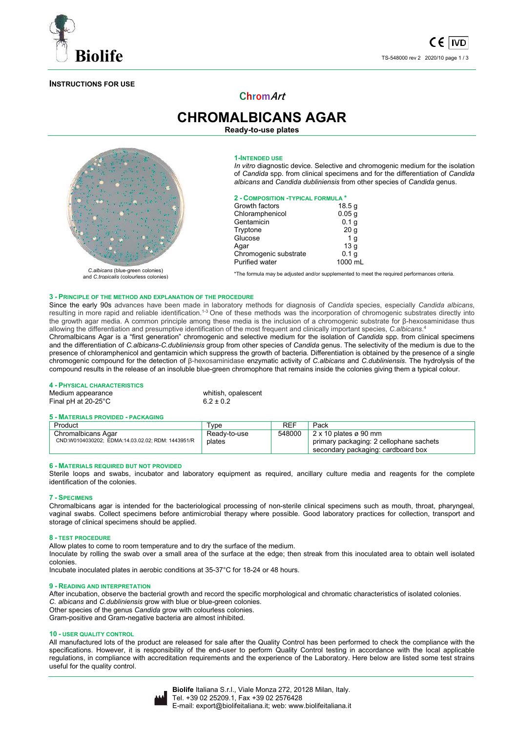

# **INSTRUCTIONS FOR USE**

**ChromArt**

**CHROMALBICANS AGAR Ready-to-use plates** 



Chromalbicans Agar: *C.albicans* (blue-green colonies) and *C.tropicalis* (colourless colonies)

#### **1-INTENDED USE**

*In vitro* diagnostic device. Selective and chromogenic medium for the isolation of *Candida* spp. from clinical specimens and for the differentiation of *Candida albicans* and *Candida dubliniensis* from other species of *Candida* genus.

# **2 - COMPOSITION -TYPICAL FORMULA \***

| Growth factors        | 18.5 g            |
|-----------------------|-------------------|
| Chloramphenicol       | 0.05 <sub>q</sub> |
| Gentamicin            | 0.1 <sub>g</sub>  |
| Tryptone              | 20 <sub>g</sub>   |
| Glucose               | 1 <sub>q</sub>    |
| Aqar                  | 13 <sub>q</sub>   |
| Chromogenic substrate | 0.1 <sub>g</sub>  |
| <b>Purified water</b> | 1000 mL           |

\*The formula may be adjusted and/or supplemented to meet the required performances criteria.

#### **3 - PRINCIPLE OF THE METHOD AND EXPLANATION OF THE PROCEDURE**

Since the early 90s advances have been made in laboratory methods for diagnosis of *Candida* species, especially *Candida albicans*, resulting in more rapid and reliable identification.<sup>1-3</sup> One of these methods was the incorporation of chromogenic substrates directly into the growth agar media. A common principle among these media is the inclusion of a chromogenic substrate for β-hexosaminidase thus allowing the differentiation and presumptive identification of the most frequent and clinically important species, *C.albicans*. 4

Chromalbicans Agar is a "first generation" chromogenic and selective medium for the isolation of *Candida* spp. from clinical specimens and the differentiation of *C.albicans*-*C.dubliniensis* group from other species of *Candida* genus. The selectivity of the medium is due to the presence of chloramphenicol and gentamicin which suppress the growth of bacteria. Differentiation is obtained by the presence of a single chromogenic compound for the detection of β-hexosaminidase enzymatic activity of *C.albicans* and *C.dubliniensis*. The hydrolysis of the compound results in the release of an insoluble blue-green chromophore that remains inside the colonies giving them a typical colour.

#### **4 - PHYSICAL CHARACTERISTICS**

Medium appearance whitish, opalescent<br>
Final pH at  $20-25^{\circ}$ C  $6.2 \pm 0.2$ Final pH at  $20-25^{\circ}$ C

#### **5 - MATERIALS PROVIDED - PACKAGING**

| Product                                           | "vpe         | REF    | Pack                                    |
|---------------------------------------------------|--------------|--------|-----------------------------------------|
| Chromalbicans Agar                                | Ready-to-use | 548000 | $2 \times 10$ plates ø 90 mm            |
| CND:W0104030202; EDMA:14.03.02.02; RDM: 1443951/R | plates       |        | primary packaging: 2 cellophane sachets |
|                                                   |              |        | secondary packaging: cardboard box      |

#### **6 - MATERIALS REQUIRED BUT NOT PROVIDED**

Sterile loops and swabs, incubator and laboratory equipment as required, ancillary culture media and reagents for the complete identification of the colonies.

# **7 - SPECIMENS**

Chromalbicans agar is intended for the bacteriological processing of non-sterile clinical specimens such as mouth, throat, pharyngeal, vaginal swabs. Collect specimens before antimicrobial therapy where possible. Good laboratory practices for collection, transport and storage of clinical specimens should be applied.

#### **8 - TEST PROCEDURE**

Allow plates to come to room temperature and to dry the surface of the medium. Inoculate by rolling the swab over a small area of the surface at the edge; then streak from this inoculated area to obtain well isolated colonies.

Incubate inoculated plates in aerobic conditions at 35-37°C for 18-24 or 48 hours.

#### **9 - READING AND INTERPRETATION**

After incubation, observe the bacterial growth and record the specific morphological and chromatic characteristics of isolated colonies. *C. albicans* and *C.dubliniensis* grow with blue or blue-green colonies.

Other species of the genus *Candida* grow with colourless colonies.

Gram-positive and Gram-negative bacteria are almost inhibited.

## **10 - USER QUALITY CONTROL**

All manufactured lots of the product are released for sale after the Quality Control has been performed to check the compliance with the specifications. However, it is responsibility of the end-user to perform Quality Control testing in accordance with the local applicable regulations, in compliance with accreditation requirements and the experience of the Laboratory. Here below are listed some test strains useful for the quality control.

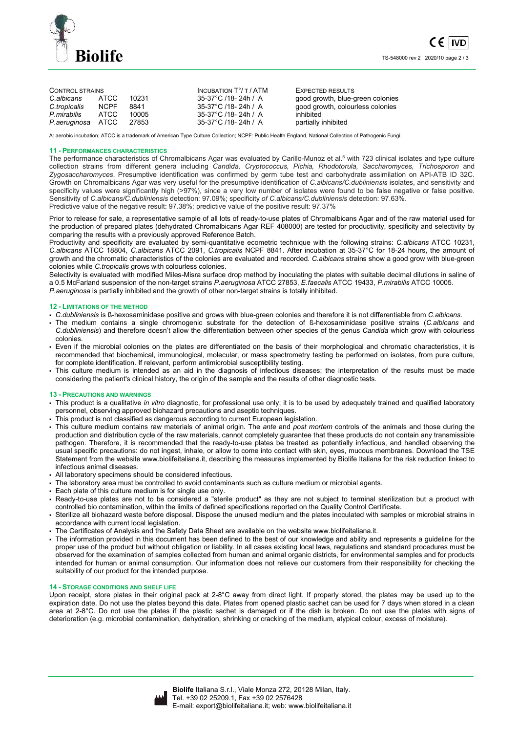

| <b>CONTROL STRAINS</b> |             |       | INCUBATION $T^{\circ}/T$ / ATM | EXPECTED RESULTS                 |  |
|------------------------|-------------|-------|--------------------------------|----------------------------------|--|
| C.albicans             | ATCC        | 10231 | 35-37°C /18- 24h / A           | good growth, blue-green colonies |  |
| C.tropicalis           | <b>NCPF</b> | 8841  | 35-37°C /18- 24h / A           | good growth, colourless colonies |  |
| P mirabilis            | ATCC.       | 10005 | 35-37°C /18-24h / A            | inhibited                        |  |
| P.aeruginosa ATCC      |             | 27853 | 35-37°C /18- 24h / A           | partially inhibited              |  |

A: aerobic incubation; ATCC is a trademark of American Type Culture Collection; NCPF: Public Health England, National Collection of Pathogenic Fungi.

#### **11 - PERFORMANCES CHARACTERISTICS**

The performance characteristics of Chromalbicans Agar was evaluated by Carillo-Munoz et al.<sup>5</sup> with 723 clinical isolates and type culture collection strains from different genera including *Candida, Cryptococcus, Pichia, Rhodotorula, Saccharomyces, Trichosporon* and *Zygosaccharomyces*. Presumptive identification was confirmed by germ tube test and carbohydrate assimilation on API-ATB ID 32C. Growth on Chromalbicans Agar was very useful for the presumptive identification of *C.albicans/C.dubliniensis* isolates, and sensitivity and specificity values were significantly high (>97%), since a very low number of isolates were found to be false negative or false positive. Sensitivity of *C.albicans/C.dubliniensis* detection: 97.09%; specificity *of C.albicans/C.dubliniensis* detection: 97.63%. Predictive value of the negative result: 97.38%; predictive value of the positive result: 97.37%

Prior to release for sale, a representative sample of all lots of ready-to-use plates of Chromalbicans Agar and of the raw material used for the production of prepared plates (dehydrated Chromalbicans Agar REF 408000) are tested for productivity, specificity and selectivity by comparing the results with a previously approved Reference Batch.

Productivity and specificity are evaluated by semi-quantitative ecometric technique with the following strains: *C.albicans* ATCC 10231, *C.albicans* ATCC 18804, *C.albicans* ATCC 2091, *C.tropicalis* NCPF 8841. After incubation at 35-37°C for 18-24 hours, the amount of growth and the chromatic characteristics of the colonies are evaluated and recorded. *C.albicans* strains show a good grow with blue-green colonies while *C.tropicalis* grows with colourless colonies.

Selectivity is evaluated with modified Miles-Misra surface drop method by inoculating the plates with suitable decimal dilutions in saline of a 0.5 McFarland suspension of the non-target strains *P.aeruginosa* ATCC 27853, *E.faecalis* ATCC 19433, *P.mirabilis* ATCC 10005. *P.aeruginosa* is partially inhibited and the growth of other non-target strains is totally inhibited.

## **12 - LIMITATIONS OF THE METHOD**

- *C.dubliniensis* is ß-hexosaminidase positive and grows with blue-green colonies and therefore it is not differentiable from *C.albicans*.
- The medium contains a single chromogenic substrate for the detection of ß-hexosaminidase positive strains (*C.albicans* and *C.dubliniensis*) and therefore doesn't allow the differentiation between other species of the genus *Candida* which grow with colourless colonies.
- Even if the microbial colonies on the plates are differentiated on the basis of their morphological and chromatic characteristics, it is recommended that biochemical, immunological, molecular, or mass spectrometry testing be performed on isolates, from pure culture, for complete identification. If relevant, perform antimicrobial susceptibility testing.
- This culture medium is intended as an aid in the diagnosis of infectious diseases; the interpretation of the results must be made considering the patient's clinical history, the origin of the sample and the results of other diagnostic tests.

#### **13 - PRECAUTIONS AND WARNINGS**

- This product is a qualitative *in vitro* diagnostic, for professional use only; it is to be used by adequately trained and qualified laboratory personnel, observing approved biohazard precautions and aseptic techniques.
- This product is not classified as dangerous according to current European legislation.
- This culture medium contains raw materials of animal origin. The *ante* and *post mortem* controls of the animals and those during the production and distribution cycle of the raw materials, cannot completely guarantee that these products do not contain any transmissible pathogen. Therefore, it is recommended that the ready-to-use plates be treated as potentially infectious, and handled observing the usual specific precautions: do not ingest, inhale, or allow to come into contact with skin, eyes, mucous membranes. Download the TSE Statement from the website www.biolifeitaliana.it, describing the measures implemented by Biolife Italiana for the risk reduction linked to infectious animal diseases.
- All laboratory specimens should be considered infectious.
- The laboratory area must be controlled to avoid contaminants such as culture medium or microbial agents.
- Each plate of this culture medium is for single use only.
- Ready-to-use plates are not to be considered a "sterile product" as they are not subject to terminal sterilization but a product with controlled bio contamination, within the limits of defined specifications reported on the Quality Control Certificate.
- Sterilize all biohazard waste before disposal. Dispose the unused medium and the plates inoculated with samples or microbial strains in accordance with current local legislation.
- The Certificates of Analysis and the Safety Data Sheet are available on the website www.biolifeitaliana.it.
- The information provided in this document has been defined to the best of our knowledge and ability and represents a guideline for the proper use of the product but without obligation or liability. In all cases existing local laws, regulations and standard procedures must be observed for the examination of samples collected from human and animal organic districts, for environmental samples and for products intended for human or animal consumption. Our information does not relieve our customers from their responsibility for checking the suitability of our product for the intended purpose.

# **14 - STORAGE CONDITIONS AND SHELF LIFE**

Upon receipt, store plates in their original pack at 2-8°C away from direct light. If properly stored, the plates may be used up to the expiration date. Do not use the plates beyond this date. Plates from opened plastic sachet can be used for 7 days when stored in a clean area at 2-8°C. Do not use the plates if the plastic sachet is damaged or if the dish is broken. Do not use the plates with signs of deterioration (e.g. microbial contamination, dehydration, shrinking or cracking of the medium, atypical colour, excess of moisture).